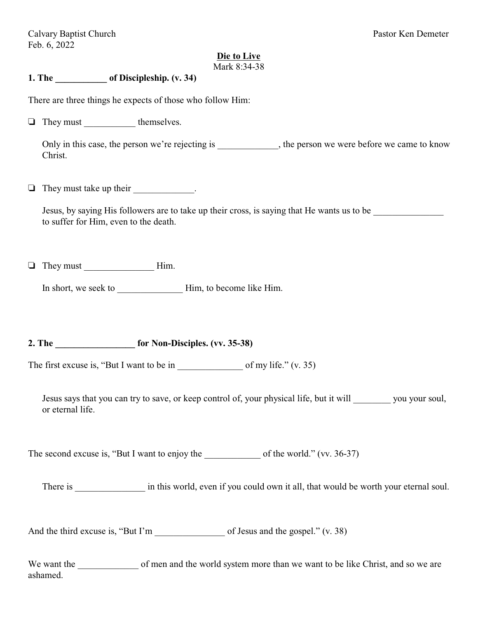#### **Die to Live** Mark 8:34-38

## **1. The \_\_\_\_\_\_\_\_\_\_\_ of Discipleship. (v. 34)**

There are three things he expects of those who follow Him:

 $\Box$  They must themselves.

Only in this case, the person we're rejecting is \_\_\_\_\_\_\_\_\_\_\_, the person we were before we came to know Christ.

 $\Box$  They must take up their  $\Box$ .

Jesus, by saying His followers are to take up their cross, is saying that He wants us to be to suffer for Him, even to the death.

 $\Box$  They must Him.

In short, we seek to \_\_\_\_\_\_\_\_\_\_\_\_\_\_ Him, to become like Him.

2. The **for Non-Disciples.** (vv. 35-38)

The first excuse is, "But I want to be in  $\qquad \qquad$  of my life." (v. 35)

Jesus says that you can try to save, or keep control of, your physical life, but it will you your soul, or eternal life.

The second excuse is, "But I want to enjoy the  $\qquad \qquad$  of the world." (vv. 36-37)

There is  $\qquad \qquad$  in this world, even if you could own it all, that would be worth your eternal soul.

And the third excuse is, "But I'm of Jesus and the gospel." (v. 38)

We want the of men and the world system more than we want to be like Christ, and so we are ashamed.